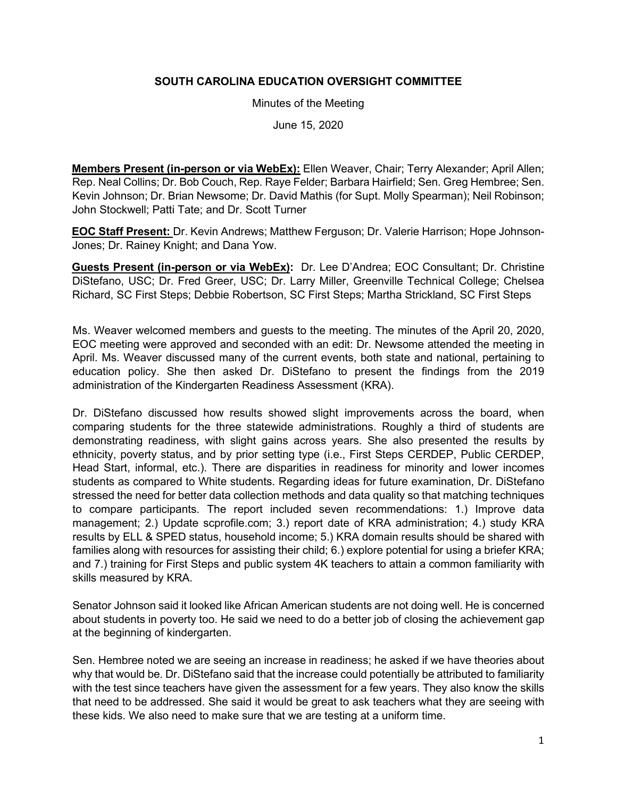## **SOUTH CAROLINA EDUCATION OVERSIGHT COMMITTEE**

Minutes of the Meeting

June 15, 2020

**Members Present (in-person or via WebEx):** Ellen Weaver, Chair; Terry Alexander; April Allen; Rep. Neal Collins; Dr. Bob Couch, Rep. Raye Felder; Barbara Hairfield; Sen. Greg Hembree; Sen. Kevin Johnson; Dr. Brian Newsome; Dr. David Mathis (for Supt. Molly Spearman); Neil Robinson; John Stockwell; Patti Tate; and Dr. Scott Turner

**EOC Staff Present:** Dr. Kevin Andrews; Matthew Ferguson; Dr. Valerie Harrison; Hope Johnson-Jones; Dr. Rainey Knight; and Dana Yow.

**Guests Present (in-person or via WebEx):** Dr. Lee D'Andrea; EOC Consultant; Dr. Christine DiStefano, USC; Dr. Fred Greer, USC; Dr. Larry Miller, Greenville Technical College; Chelsea Richard, SC First Steps; Debbie Robertson, SC First Steps; Martha Strickland, SC First Steps

Ms. Weaver welcomed members and guests to the meeting. The minutes of the April 20, 2020, EOC meeting were approved and seconded with an edit: Dr. Newsome attended the meeting in April. Ms. Weaver discussed many of the current events, both state and national, pertaining to education policy. She then asked Dr. DiStefano to present the findings from the 2019 administration of the Kindergarten Readiness Assessment (KRA).

Dr. DiStefano discussed how results showed slight improvements across the board, when comparing students for the three statewide administrations. Roughly a third of students are demonstrating readiness, with slight gains across years. She also presented the results by ethnicity, poverty status, and by prior setting type (i.e., First Steps CERDEP, Public CERDEP, Head Start, informal, etc.). There are disparities in readiness for minority and lower incomes students as compared to White students. Regarding ideas for future examination, Dr. DiStefano stressed the need for better data collection methods and data quality so that matching techniques to compare participants. The report included seven recommendations: 1.) Improve data management; 2.) Update scprofile.com; 3.) report date of KRA administration; 4.) study KRA results by ELL & SPED status, household income; 5.) KRA domain results should be shared with families along with resources for assisting their child; 6.) explore potential for using a briefer KRA; and 7.) training for First Steps and public system 4K teachers to attain a common familiarity with skills measured by KRA.

Senator Johnson said it looked like African American students are not doing well. He is concerned about students in poverty too. He said we need to do a better job of closing the achievement gap at the beginning of kindergarten.

Sen. Hembree noted we are seeing an increase in readiness; he asked if we have theories about why that would be. Dr. DiStefano said that the increase could potentially be attributed to familiarity with the test since teachers have given the assessment for a few years. They also know the skills that need to be addressed. She said it would be great to ask teachers what they are seeing with these kids. We also need to make sure that we are testing at a uniform time.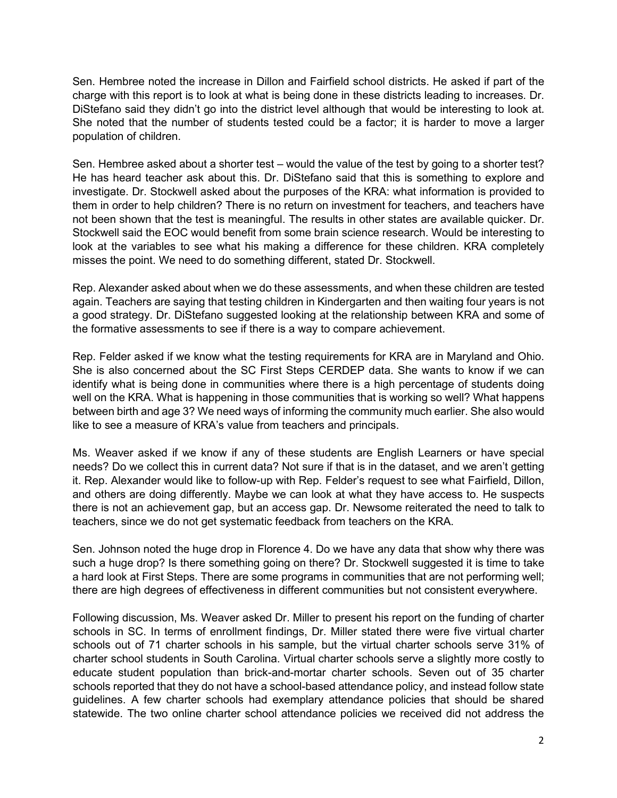Sen. Hembree noted the increase in Dillon and Fairfield school districts. He asked if part of the charge with this report is to look at what is being done in these districts leading to increases. Dr. DiStefano said they didn't go into the district level although that would be interesting to look at. She noted that the number of students tested could be a factor; it is harder to move a larger population of children.

Sen. Hembree asked about a shorter test – would the value of the test by going to a shorter test? He has heard teacher ask about this. Dr. DiStefano said that this is something to explore and investigate. Dr. Stockwell asked about the purposes of the KRA: what information is provided to them in order to help children? There is no return on investment for teachers, and teachers have not been shown that the test is meaningful. The results in other states are available quicker. Dr. Stockwell said the EOC would benefit from some brain science research. Would be interesting to look at the variables to see what his making a difference for these children. KRA completely misses the point. We need to do something different, stated Dr. Stockwell.

Rep. Alexander asked about when we do these assessments, and when these children are tested again. Teachers are saying that testing children in Kindergarten and then waiting four years is not a good strategy. Dr. DiStefano suggested looking at the relationship between KRA and some of the formative assessments to see if there is a way to compare achievement.

Rep. Felder asked if we know what the testing requirements for KRA are in Maryland and Ohio. She is also concerned about the SC First Steps CERDEP data. She wants to know if we can identify what is being done in communities where there is a high percentage of students doing well on the KRA. What is happening in those communities that is working so well? What happens between birth and age 3? We need ways of informing the community much earlier. She also would like to see a measure of KRA's value from teachers and principals.

Ms. Weaver asked if we know if any of these students are English Learners or have special needs? Do we collect this in current data? Not sure if that is in the dataset, and we aren't getting it. Rep. Alexander would like to follow-up with Rep. Felder's request to see what Fairfield, Dillon, and others are doing differently. Maybe we can look at what they have access to. He suspects there is not an achievement gap, but an access gap. Dr. Newsome reiterated the need to talk to teachers, since we do not get systematic feedback from teachers on the KRA.

Sen. Johnson noted the huge drop in Florence 4. Do we have any data that show why there was such a huge drop? Is there something going on there? Dr. Stockwell suggested it is time to take a hard look at First Steps. There are some programs in communities that are not performing well; there are high degrees of effectiveness in different communities but not consistent everywhere.

Following discussion, Ms. Weaver asked Dr. Miller to present his report on the funding of charter schools in SC. In terms of enrollment findings, Dr. Miller stated there were five virtual charter schools out of 71 charter schools in his sample, but the virtual charter schools serve 31% of charter school students in South Carolina. Virtual charter schools serve a slightly more costly to educate student population than brick-and-mortar charter schools. Seven out of 35 charter schools reported that they do not have a school-based attendance policy, and instead follow state guidelines. A few charter schools had exemplary attendance policies that should be shared statewide. The two online charter school attendance policies we received did not address the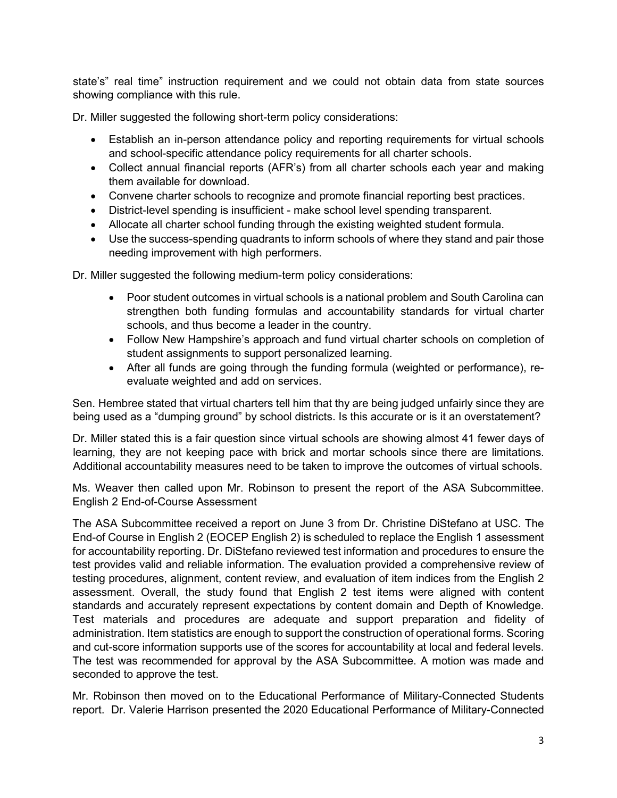state's" real time" instruction requirement and we could not obtain data from state sources showing compliance with this rule.

Dr. Miller suggested the following short-term policy considerations:

- Establish an in-person attendance policy and reporting requirements for virtual schools and school-specific attendance policy requirements for all charter schools.
- Collect annual financial reports (AFR's) from all charter schools each year and making them available for download.
- Convene charter schools to recognize and promote financial reporting best practices.
- District-level spending is insufficient make school level spending transparent.
- Allocate all charter school funding through the existing weighted student formula.
- Use the success-spending quadrants to inform schools of where they stand and pair those needing improvement with high performers.

Dr. Miller suggested the following medium-term policy considerations:

- Poor student outcomes in virtual schools is a national problem and South Carolina can strengthen both funding formulas and accountability standards for virtual charter schools, and thus become a leader in the country.
- Follow New Hampshire's approach and fund virtual charter schools on completion of student assignments to support personalized learning.
- After all funds are going through the funding formula (weighted or performance), reevaluate weighted and add on services.

Sen. Hembree stated that virtual charters tell him that thy are being judged unfairly since they are being used as a "dumping ground" by school districts. Is this accurate or is it an overstatement?

Dr. Miller stated this is a fair question since virtual schools are showing almost 41 fewer days of learning, they are not keeping pace with brick and mortar schools since there are limitations. Additional accountability measures need to be taken to improve the outcomes of virtual schools.

Ms. Weaver then called upon Mr. Robinson to present the report of the ASA Subcommittee. English 2 End-of-Course Assessment

The ASA Subcommittee received a report on June 3 from Dr. Christine DiStefano at USC. The End-of Course in English 2 (EOCEP English 2) is scheduled to replace the English 1 assessment for accountability reporting. Dr. DiStefano reviewed test information and procedures to ensure the test provides valid and reliable information. The evaluation provided a comprehensive review of testing procedures, alignment, content review, and evaluation of item indices from the English 2 assessment. Overall, the study found that English 2 test items were aligned with content standards and accurately represent expectations by content domain and Depth of Knowledge. Test materials and procedures are adequate and support preparation and fidelity of administration. Item statistics are enough to support the construction of operational forms. Scoring and cut-score information supports use of the scores for accountability at local and federal levels. The test was recommended for approval by the ASA Subcommittee. A motion was made and seconded to approve the test.

Mr. Robinson then moved on to the Educational Performance of Military-Connected Students report. Dr. Valerie Harrison presented the 2020 Educational Performance of Military-Connected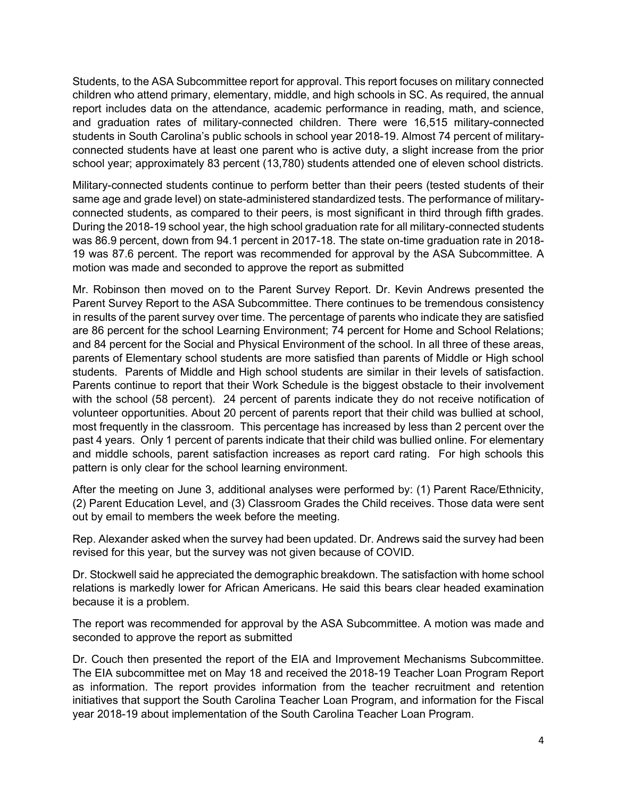Students, to the ASA Subcommittee report for approval. This report focuses on military connected children who attend primary, elementary, middle, and high schools in SC. As required, the annual report includes data on the attendance, academic performance in reading, math, and science, and graduation rates of military-connected children. There were 16,515 military-connected students in South Carolina's public schools in school year 2018-19. Almost 74 percent of militaryconnected students have at least one parent who is active duty, a slight increase from the prior school year; approximately 83 percent (13,780) students attended one of eleven school districts.

Military-connected students continue to perform better than their peers (tested students of their same age and grade level) on state-administered standardized tests. The performance of militaryconnected students, as compared to their peers, is most significant in third through fifth grades. During the 2018-19 school year, the high school graduation rate for all military-connected students was 86.9 percent, down from 94.1 percent in 2017-18. The state on-time graduation rate in 2018- 19 was 87.6 percent. The report was recommended for approval by the ASA Subcommittee. A motion was made and seconded to approve the report as submitted

Mr. Robinson then moved on to the Parent Survey Report. Dr. Kevin Andrews presented the Parent Survey Report to the ASA Subcommittee. There continues to be tremendous consistency in results of the parent survey over time. The percentage of parents who indicate they are satisfied are 86 percent for the school Learning Environment; 74 percent for Home and School Relations; and 84 percent for the Social and Physical Environment of the school. In all three of these areas, parents of Elementary school students are more satisfied than parents of Middle or High school students. Parents of Middle and High school students are similar in their levels of satisfaction. Parents continue to report that their Work Schedule is the biggest obstacle to their involvement with the school (58 percent). 24 percent of parents indicate they do not receive notification of volunteer opportunities. About 20 percent of parents report that their child was bullied at school, most frequently in the classroom. This percentage has increased by less than 2 percent over the past 4 years. Only 1 percent of parents indicate that their child was bullied online. For elementary and middle schools, parent satisfaction increases as report card rating. For high schools this pattern is only clear for the school learning environment.

After the meeting on June 3, additional analyses were performed by: (1) Parent Race/Ethnicity, (2) Parent Education Level, and (3) Classroom Grades the Child receives. Those data were sent out by email to members the week before the meeting.

Rep. Alexander asked when the survey had been updated. Dr. Andrews said the survey had been revised for this year, but the survey was not given because of COVID.

Dr. Stockwell said he appreciated the demographic breakdown. The satisfaction with home school relations is markedly lower for African Americans. He said this bears clear headed examination because it is a problem.

The report was recommended for approval by the ASA Subcommittee. A motion was made and seconded to approve the report as submitted

Dr. Couch then presented the report of the EIA and Improvement Mechanisms Subcommittee. The EIA subcommittee met on May 18 and received the 2018-19 Teacher Loan Program Report as information. The report provides information from the teacher recruitment and retention initiatives that support the South Carolina Teacher Loan Program, and information for the Fiscal year 2018-19 about implementation of the South Carolina Teacher Loan Program.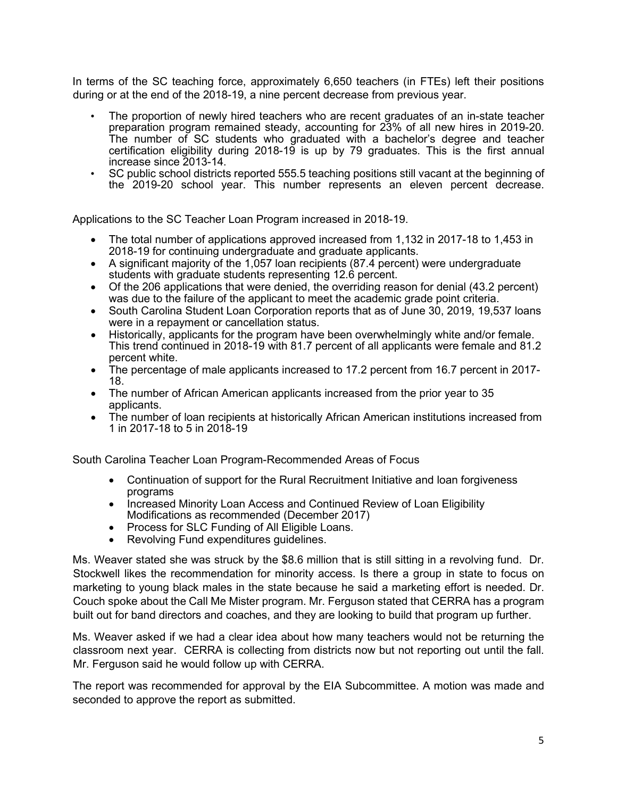In terms of the SC teaching force, approximately 6,650 teachers (in FTEs) left their positions during or at the end of the 2018-19, a nine percent decrease from previous year.

- The proportion of newly hired teachers who are recent graduates of an in-state teacher preparation program remained steady, accounting for 23% of all new hires in 2019-20. The number of SC students who graduated with a bachelor's degree and teacher certification eligibility during 2018-19 is up by 79 graduates. This is the first annual increase since 2013-14.
- SC public school districts reported 555.5 teaching positions still vacant at the beginning of the 2019-20 school year. This number represents an eleven percent decrease.

Applications to the SC Teacher Loan Program increased in 2018-19.

- The total number of applications approved increased from 1,132 in 2017-18 to 1,453 in 2018-19 for continuing undergraduate and graduate applicants.
- A significant majority of the 1,057 loan recipients (87.4 percent) were undergraduate students with graduate students representing 12.6 percent.
- Of the 206 applications that were denied, the overriding reason for denial (43.2 percent) was due to the failure of the applicant to meet the academic grade point criteria.
- South Carolina Student Loan Corporation reports that as of June 30, 2019, 19,537 loans were in a repayment or cancellation status.
- Historically, applicants for the program have been overwhelmingly white and/or female. This trend continued in 2018-19 with 81.7 percent of all applicants were female and 81.2 percent white.
- The percentage of male applicants increased to 17.2 percent from 16.7 percent in 2017- 18.
- The number of African American applicants increased from the prior year to 35 applicants.
- The number of loan recipients at historically African American institutions increased from 1 in 2017-18 to 5 in 2018-19

South Carolina Teacher Loan Program-Recommended Areas of Focus

- Continuation of support for the Rural Recruitment Initiative and loan forgiveness programs
- Increased Minority Loan Access and Continued Review of Loan Eligibility Modifications as recommended (December 2017)
- Process for SLC Funding of All Eligible Loans.
- Revolving Fund expenditures guidelines.

Ms. Weaver stated she was struck by the \$8.6 million that is still sitting in a revolving fund. Dr. Stockwell likes the recommendation for minority access. Is there a group in state to focus on marketing to young black males in the state because he said a marketing effort is needed. Dr. Couch spoke about the Call Me Mister program. Mr. Ferguson stated that CERRA has a program built out for band directors and coaches, and they are looking to build that program up further.

Ms. Weaver asked if we had a clear idea about how many teachers would not be returning the classroom next year. CERRA is collecting from districts now but not reporting out until the fall. Mr. Ferguson said he would follow up with CERRA.

The report was recommended for approval by the EIA Subcommittee. A motion was made and seconded to approve the report as submitted.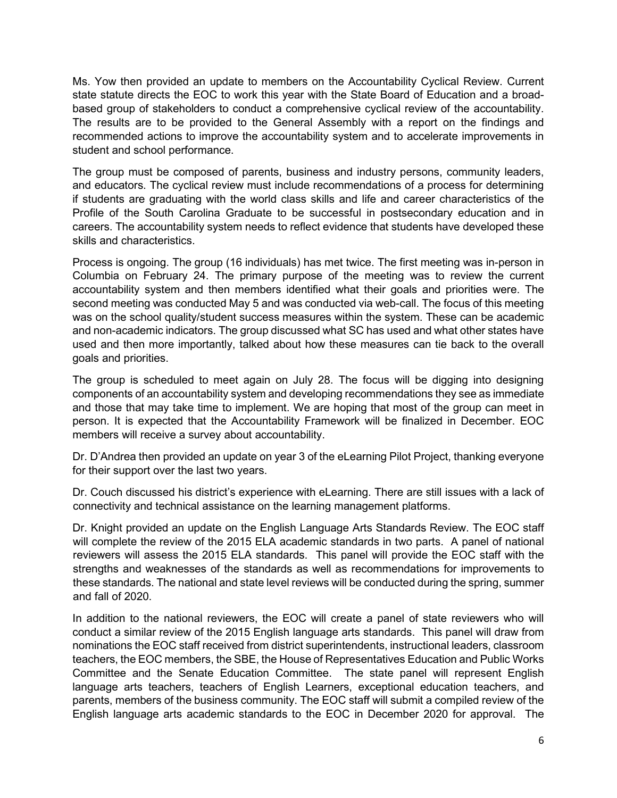Ms. Yow then provided an update to members on the Accountability Cyclical Review. Current state statute directs the EOC to work this year with the State Board of Education and a broadbased group of stakeholders to conduct a comprehensive cyclical review of the accountability. The results are to be provided to the General Assembly with a report on the findings and recommended actions to improve the accountability system and to accelerate improvements in student and school performance.

The group must be composed of parents, business and industry persons, community leaders, and educators. The cyclical review must include recommendations of a process for determining if students are graduating with the world class skills and life and career characteristics of the Profile of the South Carolina Graduate to be successful in postsecondary education and in careers. The accountability system needs to reflect evidence that students have developed these skills and characteristics.

Process is ongoing. The group (16 individuals) has met twice. The first meeting was in-person in Columbia on February 24. The primary purpose of the meeting was to review the current accountability system and then members identified what their goals and priorities were. The second meeting was conducted May 5 and was conducted via web-call. The focus of this meeting was on the school quality/student success measures within the system. These can be academic and non-academic indicators. The group discussed what SC has used and what other states have used and then more importantly, talked about how these measures can tie back to the overall goals and priorities.

The group is scheduled to meet again on July 28. The focus will be digging into designing components of an accountability system and developing recommendations they see as immediate and those that may take time to implement. We are hoping that most of the group can meet in person. It is expected that the Accountability Framework will be finalized in December. EOC members will receive a survey about accountability.

Dr. D'Andrea then provided an update on year 3 of the eLearning Pilot Project, thanking everyone for their support over the last two years.

Dr. Couch discussed his district's experience with eLearning. There are still issues with a lack of connectivity and technical assistance on the learning management platforms.

Dr. Knight provided an update on the English Language Arts Standards Review. The EOC staff will complete the review of the 2015 ELA academic standards in two parts. A panel of national reviewers will assess the 2015 ELA standards. This panel will provide the EOC staff with the strengths and weaknesses of the standards as well as recommendations for improvements to these standards. The national and state level reviews will be conducted during the spring, summer and fall of 2020.

In addition to the national reviewers, the EOC will create a panel of state reviewers who will conduct a similar review of the 2015 English language arts standards. This panel will draw from nominations the EOC staff received from district superintendents, instructional leaders, classroom teachers, the EOC members, the SBE, the House of Representatives Education and Public Works Committee and the Senate Education Committee. The state panel will represent English language arts teachers, teachers of English Learners, exceptional education teachers, and parents, members of the business community. The EOC staff will submit a compiled review of the English language arts academic standards to the EOC in December 2020 for approval. The